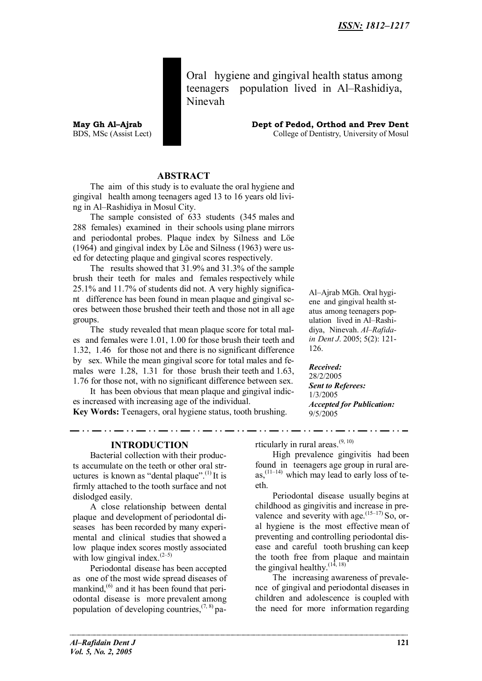Oral hygiene and gingival health status among teenagers population lived in Al–Rashidiya, Ninevah

**May Gh Al–Ajrab Dept of Pedod, Orthod and Prev Dent** BDS, MSc (Assist Lect) College of Dentistry, University of Mosul

### **ABSTRACT**

The aim of this study is to evaluate the oral hygiene and gingival health among teenagers aged 13 to 16 years old living in Al–Rashidiya in Mosul City.

The sample consisted of 633 students (345 males and 288 females) examined in their schools using plane mirrors and periodontal probes. Plaque index by Silness and Löe (1964) and gingival index by Löe and Silness (1963) were used for detecting plaque and gingival scores respectively.

The results showed that 31.9% and 31.3% of the sample brush their teeth for males and females respectively while 25.1% and 11.7% of students did not. A very highly significant difference has been found in mean plaque and gingival scores between those brushed their teeth and those not in all age groups.

The study revealed that mean plaque score for total males and females were 1.01, 1.00 for those brush their teeth and 1.32, 1.46 for those not and there is no significant difference by sex. While the mean gingival score for total males and females were 1.28, 1.31 for those brush their teeth and 1.63, 1.76 for those not, with no significant difference between sex.

It has been obvious that mean plaque and gingival indices increased with increasing age of the individual.

**Key Words:** Teenagers, oral hygiene status, tooth brushing.

Al–Ajrab MGh. Oral hygiene and gingival health status among teenagers population lived in Al–Rashidiya, Ninevah. *Al–Rafidain Dent J*. 2005; 5(2): 121- 126.

*Received:* 28/2/2005 *Sent to Referees:* 1/3/2005 *Accepted for Publication:* 9/5/2005

### **INTRODUCTION**

Bacterial collection with their products accumulate on the teeth or other oral structures is known as "dental plaque". $^{(1)}$  It is firmly attached to the tooth surface and not dislodged easily.

A close relationship between dental plaque and development of periodontal diseases has been recorded by many experimental and clinical studies that showed a low plaque index scores mostly associated with low gingival index. $(2-5)$ 

Periodontal disease has been accepted as one of the most wide spread diseases of mankind, $^{(6)}$  and it has been found that periodontal disease is more prevalent among population of developing countries,  $(7, 8)$  particularly in rural areas.(9, 10)

High prevalence gingivitis had been found in teenagers age group in rural areas, $(11-14)$  which may lead to early loss of teeth.

Periodontal disease usually begins at childhood as gingivitis and increase in prevalence and severity with age.  $(15-17)$  So, oral hygiene is the most effective mean of preventing and controlling periodontal disease and careful tooth brushing can keep the tooth free from plaque and maintain the gingival healthy.  $(14, 18)$ 

The increasing awareness of prevalence of gingival and periodontal diseases in children and adolescence is coupled with the need for more information regarding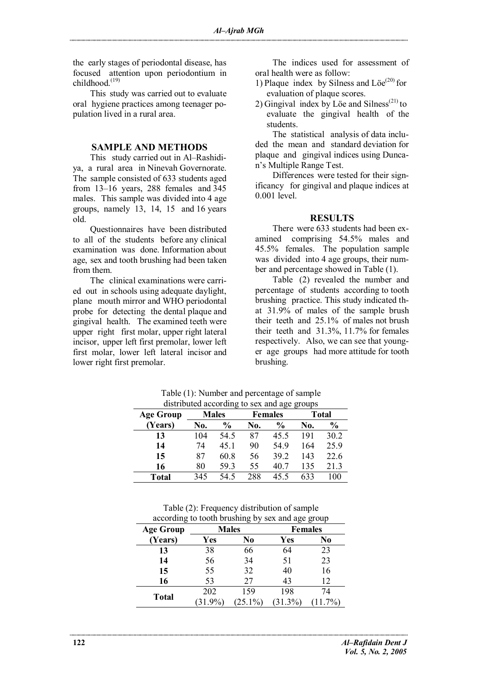the early stages of periodontal disease, has focused attention upon periodontium in childhood.<sup>(19)</sup>

This study was carried out to evaluate oral hygiene practices among teenager population lived in a rural area.

#### **SAMPLE AND METHODS**

This study carried out in Al–Rashidiya, a rural area in Ninevah Governorate. The sample consisted of 633 students aged from 13–16 years, 288 females and 345 males. This sample was divided into 4 age groups, namely 13, 14, 15 and 16 years old.

Questionnaires have been distributed to all of the students before any clinical examination was done. Information about age, sex and tooth brushing had been taken from them.

The clinical examinations were carried out in schools using adequate daylight, plane mouth mirror and WHO periodontal probe for detecting the dental plaque and gingival health. The examined teeth were upper right first molar, upper right lateral incisor, upper left first premolar, lower left first molar, lower left lateral incisor and lower right first premolar.

The indices used for assessment of oral health were as follow:

- 1) Plaque index by Silness and  $\text{Löe}^{(20)}$  for evaluation of plaque scores.
- 2) Gingival index by Löe and Silness<sup> $(21)$ </sup> to evaluate the gingival health of the students.

The statistical analysis of data included the mean and standard deviation for plaque and gingival indices using Duncan's Multiple Range Test.

Differences were tested for their significancy for gingival and plaque indices at 0.001 level.

#### **RESULTS**

There were 633 students had been examined comprising 54.5% males and 45.5% females. The population sample was divided into 4 age groups, their number and percentage showed in Table (1).

Table (2) revealed the number and percentage of students according to tooth brushing practice. This study indicated that 31.9% of males of the sample brush their teeth and 25.1% of males not brush their teeth and 31.3%, 11.7% for females respectively. Also, we can see that younger age groups had more attitude for tooth brushing.

| $\frac{1}{2}$ and $\frac{1}{2}$ are $\frac{1}{2}$ and $\frac{1}{2}$ and $\frac{1}{2}$ and $\frac{1}{2}$ and $\frac{1}{2}$ |     |                |     |                |     |               |  |
|---------------------------------------------------------------------------------------------------------------------------|-----|----------------|-----|----------------|-----|---------------|--|
| <b>Age Group</b>                                                                                                          |     | <b>Males</b>   |     | <b>Females</b> |     | <b>Total</b>  |  |
| (Years)                                                                                                                   | No. | $\frac{6}{10}$ | No. | $\frac{0}{0}$  | No. | $\frac{0}{0}$ |  |
| 13                                                                                                                        | 104 | 54.5           | 87  | 45.5           | 191 | 30.2          |  |
| 14                                                                                                                        | 74  | 45 1           | 90  | 54.9           | 164 | 25.9          |  |
| 15                                                                                                                        | 87  | 60.8           | 56  | 39 2           | 143 | 22.6          |  |
| 16                                                                                                                        | 80  | 593            | 55  | 40.7           | 135 | 21.3          |  |
| Total                                                                                                                     | 345 | 54.5           | 288 | 45.5           | 633 | 100           |  |

Table (1): Number and percentage of sample distributed according to sex and age groups

Table (2): Frequency distribution of sample according to tooth brushing by sex and age group

| <b>Age Group</b> |            | <b>Males</b> | <b>Females</b> |          |  |
|------------------|------------|--------------|----------------|----------|--|
| (Years)          | Yes        | No           | Yes            | No       |  |
| 13               | 38         | 66           | 64             | 23       |  |
| 14               | 56         | 34           | 51             | 23       |  |
| 15               | 55         | 32           | 40             | 16       |  |
| 16               | 53         | 27           | 43             | 12       |  |
| <b>Total</b>     | 202        | 159          | 198            | 74       |  |
|                  | $(31.9\%)$ | $(25.1\%)$   | $(31.3\%)$     | $11.7\%$ |  |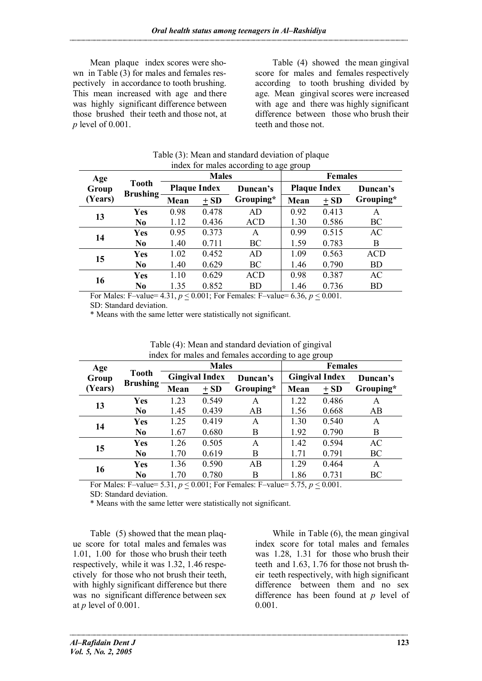Mean plaque index scores were shown in Table (3) for males and females respectively in accordance to tooth brushing. This mean increased with age and there was highly significant difference between those brushed their teeth and those not, at *p* level of 0.001.

Table (4) showed the mean gingival score for males and females respectively according to tooth brushing divided by age. Mean gingival scores were increased with age and there was highly significant difference between those who brush their teeth and those not.

| $\frac{1}{2}$ and $\frac{1}{2}$ and $\frac{1}{2}$ are $\frac{1}{2}$ and $\frac{1}{2}$ and $\frac{1}{2}$ are $\frac{1}{2}$ and $\frac{1}{2}$ are $\frac{1}{2}$ and $\frac{1}{2}$ are $\frac{1}{2}$ and $\frac{1}{2}$ are $\frac{1}{2}$ and $\frac{1}{2}$ are $\frac{1}{2}$ and $\frac{1}{2}$ a |                                  |                     |        |            |                     |       |            |  |
|-----------------------------------------------------------------------------------------------------------------------------------------------------------------------------------------------------------------------------------------------------------------------------------------------|----------------------------------|---------------------|--------|------------|---------------------|-------|------------|--|
| Age                                                                                                                                                                                                                                                                                           | <b>Tooth</b><br><b>Brushing-</b> | <b>Males</b>        |        |            | <b>Females</b>      |       |            |  |
| Group                                                                                                                                                                                                                                                                                         |                                  | <b>Plaque Index</b> |        | Duncan's   | <b>Plaque Index</b> |       | Duncan's   |  |
| (Years)                                                                                                                                                                                                                                                                                       |                                  | Mean                | $+$ SD | Grouping*  | Mean                | $+SD$ | Grouping*  |  |
|                                                                                                                                                                                                                                                                                               | Yes                              | 0.98                | 0.478  | AD         | 0.92                | 0.413 | A          |  |
| 13                                                                                                                                                                                                                                                                                            | N <sub>0</sub>                   | 1.12                | 0.436  | <b>ACD</b> | 1.30                | 0.586 | BC         |  |
|                                                                                                                                                                                                                                                                                               | <b>Yes</b>                       | 0.95                | 0.373  | A          | 0.99                | 0.515 | AC         |  |
| 14                                                                                                                                                                                                                                                                                            | N <sub>0</sub>                   | 1.40                | 0.711  | BC         | 1.59                | 0.783 | Β          |  |
| 15                                                                                                                                                                                                                                                                                            | <b>Yes</b>                       | 1.02                | 0.452  | AD         | 1.09                | 0.563 | <b>ACD</b> |  |
|                                                                                                                                                                                                                                                                                               | N <sub>0</sub>                   | 1.40                | 0.629  | BC         | 1.46                | 0.790 | <b>BD</b>  |  |
|                                                                                                                                                                                                                                                                                               | <b>Yes</b>                       | 1.10                | 0.629  | <b>ACD</b> | 0.98                | 0.387 | AC         |  |
| 16                                                                                                                                                                                                                                                                                            | N <sub>0</sub>                   | 1.35                | 0.852  | BD         | 1.46                | 0.736 | BD         |  |
| $\Lambda$ $\Omega$ $\Lambda$<br>$P \sim M1 - P \sim 1$<br>$\sim 0.001$ F F $\sim 1$ F<br>$\sim$ 1.000 $\sim$<br>$\sqrt{2}$<br>$\sim$ 0.001                                                                                                                                                    |                                  |                     |        |            |                     |       |            |  |

| Table (3): Mean and standard deviation of plaque |  |
|--------------------------------------------------|--|
| index for males according to age group           |  |

For Males: F–value=  $4.31, p \le 0.001$ ; For Females: F–value=  $6.36, p \le 0.001$ .

SD: Standard deviation.

\* Means with the same letter were statistically not significant.

| Age              |                                 | muck for marcs and remarcs according to age group<br><b>Males</b> |       |           | <b>Females</b>        |       |           |
|------------------|---------------------------------|-------------------------------------------------------------------|-------|-----------|-----------------------|-------|-----------|
| Group<br>(Years) | <b>Tooth</b><br><b>Brushing</b> | <b>Gingival Index</b>                                             |       | Duncan's  | <b>Gingival Index</b> |       | Duncan's  |
|                  |                                 | Mean                                                              | $+SD$ | Grouping* | Mean                  | $+SD$ | Grouping* |
| 13               | Yes                             | 1.23                                                              | 0.549 | A         | 1.22                  | 0.486 | A         |
|                  | No.                             | 1.45                                                              | 0.439 | AB        | 1.56                  | 0.668 | AB        |
| 14               | Yes                             | 1.25                                                              | 0.419 | A         | 1.30                  | 0.540 | A         |
|                  | No.                             | 1.67                                                              | 0.680 | B         | 1.92                  | 0.790 | B         |
| 15               | Yes                             | 1.26                                                              | 0.505 | A         | 1.42                  | 0.594 | AC        |
|                  | No.                             | 1.70                                                              | 0.619 | B         | 1.71                  | 0.791 | BC        |
| 16               | Yes                             | 1.36                                                              | 0.590 | AB        | 1.29                  | 0.464 | A         |
|                  | No                              | 1.70                                                              | 0.780 | В         | 1.86                  | 0.731 | BC        |

| Table (4): Mean and standard deviation of gingival |  |
|----------------------------------------------------|--|
| index for males and females according to age group |  |

For Males: F–value= 5.31,  $p \le 0.001$ ; For Females: F–value= 5.75,  $p \le 0.001$ .

SD: Standard deviation.

\* Means with the same letter were statistically not significant.

Table (5) showed that the mean plaque score for total males and females was 1.01, 1.00 for those who brush their teeth respectively, while it was 1.32, 1.46 respectively for those who not brush their teeth, with highly significant difference but there was no significant difference between sex at *p* level of 0.001.

While in Table (6), the mean gingival index score for total males and females was 1.28, 1.31 for those who brush their teeth and 1.63, 1.76 for those not brush their teeth respectively, with high significant difference between them and no sex difference has been found at *p* level of 0.001.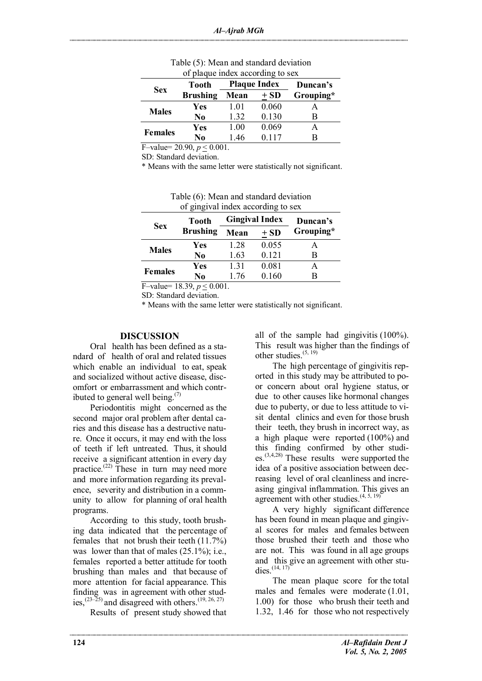|                | Tooth           | <b>Plaque Index</b> |        | Duncan's  |
|----------------|-----------------|---------------------|--------|-----------|
| <b>Sex</b>     | <b>Brushing</b> | Mean                | $+$ SD | Grouping* |
| <b>Males</b>   | Yes             | 1.01                | 0.060  |           |
|                | No              | 1 32                | 0.130  | B         |
| <b>Females</b> | Yes             | 1.00                | 0.069  |           |
|                | No              | 1 46                | 0.117  | R         |

| Table (5): Mean and standard deviation |  |
|----------------------------------------|--|
| of plaque index according to sex       |  |

F–value= 20.90,  $p < 0.001$ .

SD: Standard deviation.

\* Means with the same letter were statistically not significant.

| of gingival index according to sex |                 |      |                       |           |  |  |
|------------------------------------|-----------------|------|-----------------------|-----------|--|--|
| <b>Sex</b>                         | <b>Tooth</b>    |      | <b>Gingival Index</b> | Duncan's  |  |  |
|                                    | <b>Brushing</b> | Mean | $+$ SD                | Grouping* |  |  |
| <b>Males</b>                       | Yes             | 1.28 | 0.055                 | A         |  |  |
|                                    | No              | 1.63 | 0.121                 | В         |  |  |
| <b>Females</b>                     | Yes             | 1.31 | 0.081                 | A         |  |  |
|                                    | N0              | 1.76 | 0.160                 | B         |  |  |
| -<br>.<br>- - - -                  |                 |      |                       |           |  |  |

Table (6): Mean and standard deviation

F–value=  $18.39, p \le 0.001$ . SD: Standard deviation.

\* Means with the same letter were statistically not significant.

#### **DISCUSSION**

Oral health has been defined as a standard of health of oral and related tissues which enable an individual to eat, speak and socialized without active disease, discomfort or embarrassment and which contributed to general well being. $(7)$ 

Periodontitis might concerned as the second major oral problem after dental caries and this disease has a destructive nature. Once it occurs, it may end with the loss of teeth if left untreated. Thus, it should receive a significant attention in every day practice.<sup> $(22)$ </sup> These in turn may need more and more information regarding its prevalence, severity and distribution in a community to allow for planning of oral health programs.

According to this study, tooth brushing data indicated that the percentage of females that not brush their teeth (11.7%) was lower than that of males  $(25.1\%)$ ; i.e., females reported a better attitude for tooth brushing than males and that because of more attention for facial appearance. This finding was in agreement with other studies,<sup> $(23–25)$ </sup> and disagreed with others.<sup> $(19, 26, 27)$ </sup>

Results of present study showed that

all of the sample had gingivitis (100%). This result was higher than the findings of other studies.(5, 19)

The high percentage of gingivitis reported in this study may be attributed to poor concern about oral hygiene status, or due to other causes like hormonal changes due to puberty, or due to less attitude to visit dental clinics and even for those brush their teeth, they brush in incorrect way, as a high plaque were reported (100%) and this finding confirmed by other studies.(3,4,28) These results were supported the idea of a positive association between decreasing level of oral cleanliness and increasing gingival inflammation. This gives an agreement with other studies. $(4, 5, 19)$ 

A very highly significant difference has been found in mean plaque and gingival scores for males and females between those brushed their teeth and those who are not. This was found in all age groups and this give an agreement with other studies.  $(14, 17)$ 

The mean plaque score for the total males and females were moderate (1.01, 1.00) for those who brush their teeth and 1.32, 1.46 for those who not respectively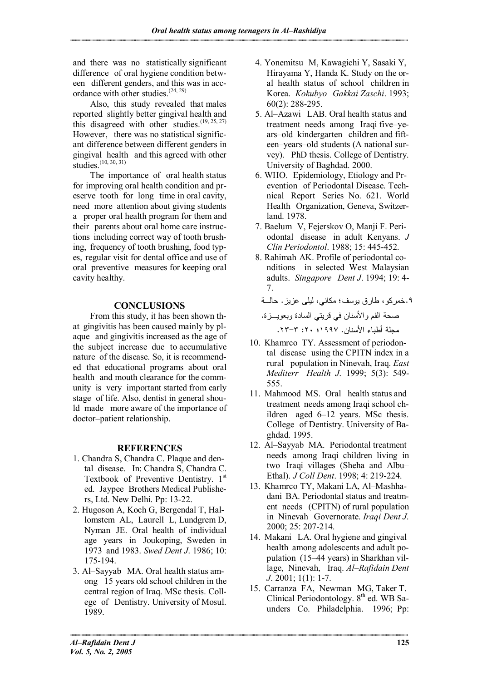and there was no statistically significant difference of oral hygiene condition between different genders, and this was in accordance with other studies.<sup> $(24, 29)$ </sup>

Also, this study revealed that males reported slightly better gingival health and this disagreed with other studies.<sup> $(19, 25, 27)$ </sup> However, there was no statistical significant difference between different genders in gingival health and this agreed with other studies.<sup>(10, 30, 31)</sup>

The importance of oral health status for improving oral health condition and preserve tooth for long time in oral cavity, need more attention about giving students a proper oral health program for them and their parents about oral home care instructions including correct way of tooth brushing, frequency of tooth brushing, food types, regular visit for dental office and use of oral preventive measures for keeping oral cavity healthy.

# **CONCLUSIONS**

From this study, it has been shown that gingivitis has been caused mainly by plaque and gingivitis increased as the age of the subject increase due to accumulative nature of the disease. So, it is recommended that educational programs about oral health and mouth clearance for the community is very important started from early stage of life. Also, dentist in general should made more aware of the importance of doctor–patient relationship.

# **REFERENCES**

- 1. Chandra S, Chandra C. Plaque and dental disease. In: Chandra S, Chandra C. Textbook of Preventive Dentistry. 1st ed. Jaypee Brothers Medical Publishers, Ltd. New Delhi. Pp: 13-22.
- 2. Hugoson A, Koch G, Bergendal T, Hallomstem AL, Laurell L, Lundgrem D, Nyman JE. Oral health of individual age years in Joukoping, Sweden in 1973 and 1983. *Swed Dent J*. 1986; 10: 175-194.
- 3. Al–Sayyab MA. Oral health status among 15 years old school children in the central region of Iraq. MSc thesis. College of Dentistry. University of Mosul. 1989.
- 4. Yonemitsu M, Kawagichi Y, Sasaki Y, Hirayama Y, Handa K. Study on the oral health status of school children in Korea. *Kokubyo Gakkai Zaschi*. 1993; 60(2): 288-295.
- 5. Al–Azawi LAB. Oral health status and treatment needs among Iraqi five–years–old kindergarten children and fifteen–years–old students (A national survey). PhD thesis. College of Dentistry. University of Baghdad. 2000.
- 6. WHO. Epidemiology, Etiology and Prevention of Periodontal Disease. Technical Report Series No. 621. World Health Organization, Geneva, Switzerland. 1978.
- 7. Baelum V, Fejerskov O, Manji F. Periodontal disease in adult Kenyans. *J Clin Periodontol*. 1988; 15: 445-452.
- 8. Rahimah AK. Profile of periodontal conditions in selected West Malaysian adults. *Singapore Dent J*. 1994; 19: 4- 7.

.٩ خمركو، طارق يوسف؛ مكاني، ليلى عزيز. حالـة صحة الفم والأسنان في قريتي السادة وبعويـزة. مجلة أطباء الأسنان. ١٩٩٧؛ :٢٠ .٢٣-٣

- 10. Khamrco TY. Assessment of periodontal disease using the CPITN index in a rural population in Ninevah, Iraq. *East Mediterr Health J*. 1999; 5(3): 549- 555.
- 11. Mahmood MS. Oral health status and treatment needs among Iraqi school children aged 6–12 years. MSc thesis. College of Dentistry. University of Baghdad. 1995.
- 12. Al–Sayyab MA. Periodontal treatment needs among Iraqi children living in two Iraqi villages (Sheha and Albu– Ethal). *J Coll Dent*. 1998; 4: 219-224.
- 13. Khamrco TY, Makani LA, Al–Mashhadani BA. Periodontal status and treatment needs (CPITN) of rural population in Ninevah Governorate. *Iraqi Dent J*. 2000; 25: 207-214.
- 14. Makani LA. Oral hygiene and gingival health among adolescents and adult population (15–44 years) in Sharkhan village, Ninevah, Iraq. *Al–Rafidain Dent J*. 2001; 1(1): 1-7.
- 15. Carranza FA, Newman MG, Taker T. Clinical Periodontology.  $8<sup>th</sup>$  ed. WB Saunders Co. Philadelphia. 1996; Pp: